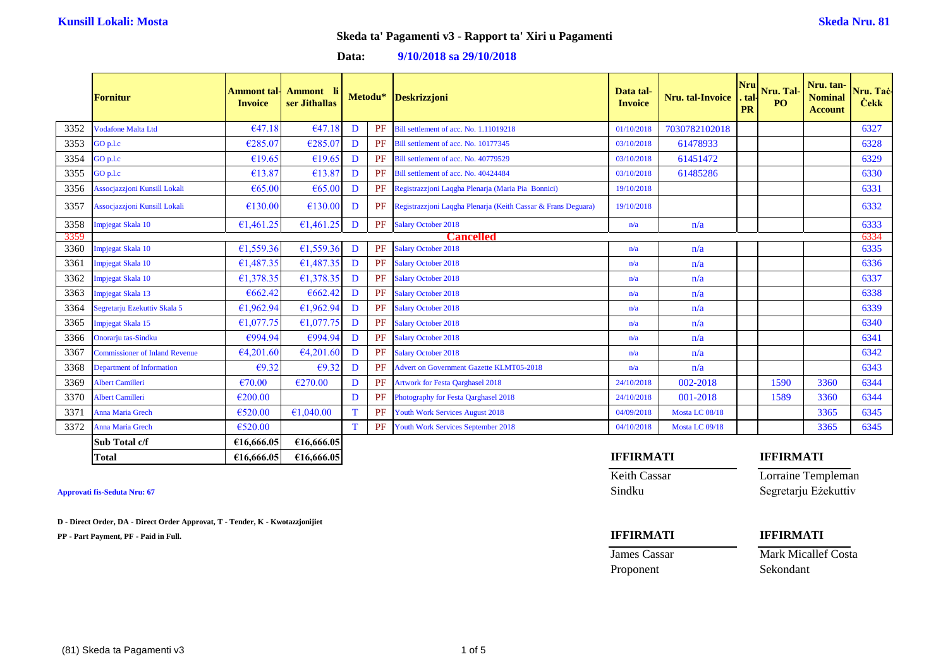### **Data: 9/10/2018 sa 29/10/2018**

|      | Fornitur                              | <b>Ammont</b> tal-<br><b>Invoice</b> | Ammont li<br>ser Jithallas |   |    | Metodu* Deskrizzjoni                                             | Data tal-<br><b>Invoice</b> | <b>Nru.</b> tal-Invoice | <b>Nru</b><br>. tal-<br><b>PR</b> | Nru. Tal-<br>P <sub>O</sub> | Nru. tan-<br><b>Nominal</b><br><b>Account</b> | Nru. Taċ-<br><b>Cekk</b> |
|------|---------------------------------------|--------------------------------------|----------------------------|---|----|------------------------------------------------------------------|-----------------------------|-------------------------|-----------------------------------|-----------------------------|-----------------------------------------------|--------------------------|
| 3352 | <b>Vodafone Malta Ltd</b>             | €47.18                               | €47.18                     | D | PF | Bill settlement of acc. No. 1.11019218                           | 01/10/2018                  | 7030782102018           |                                   |                             |                                               | 6327                     |
| 3353 | GO p.l.c                              | €285.07                              | €285.07                    | D | PF | Bill settlement of acc. No. 10177345                             | 03/10/2018                  | 61478933                |                                   |                             |                                               | 6328                     |
| 3354 | GO p.l.c                              | €19.65                               | €19.65                     | D | PF | Bill settlement of acc. No. 40779529                             | 03/10/2018                  | 61451472                |                                   |                             |                                               | 6329                     |
| 3355 | GO p.l.c                              | €13.87                               | €13.87                     | D | PF | Bill settlement of acc. No. 40424484                             | 03/10/2018                  | 61485286                |                                   |                             |                                               | 6330                     |
| 3356 | Assocjazzjoni Kunsill Lokali          | €65.00                               | €65.00                     | D |    | PF Registrazzjoni Laqgha Plenarja (Maria Pia Bonnici)            | 19/10/2018                  |                         |                                   |                             |                                               | 6331                     |
| 3357 | Assocjazzjoni Kunsill Lokali          | €130.00                              | €130.00                    | D |    | PF Registrazzioni Laqgha Plenarja (Keith Cassar & Frans Deguara) | 19/10/2018                  |                         |                                   |                             |                                               | 6332                     |
| 3358 | Impjegat Skala 10                     | €1,461.25                            | €1,461.25                  | D |    | PF Salary October 2018                                           | n/a                         | n/a                     |                                   |                             |                                               | 6333                     |
| 3359 |                                       |                                      |                            |   |    | <b>Cancelled</b>                                                 |                             |                         |                                   |                             |                                               | 6334                     |
| 3360 | Impjegat Skala 10                     | €1,559.36                            | €1,559.36                  | D | PF | <b>Salary October 2018</b>                                       | n/a                         | n/a                     |                                   |                             |                                               | 6335                     |
| 3361 | Impjegat Skala 10                     | €1,487.35                            | €1,487.35                  | D | PF | <b>Salary October 2018</b>                                       | n/a                         | n/a                     |                                   |                             |                                               | 6336                     |
| 3362 | Impjegat Skala 10                     | €1,378.35                            | €1.378.35                  | D | PF | <b>Salary October 2018</b>                                       | n/a                         | n/a                     |                                   |                             |                                               | 6337                     |
| 3363 | Impjegat Skala 13                     | €662.42                              | €662.42                    | D | PF | <b>Salary October 2018</b>                                       | n/a                         | n/a                     |                                   |                             |                                               | 6338                     |
| 3364 | Segretarju Ezekuttiv Skala 5          | €1,962.94                            | €1,962.94                  | D | PF | <b>Salary October 2018</b>                                       | n/a                         | n/a                     |                                   |                             |                                               | 6339                     |
| 3365 | Impjegat Skala 15                     | €1,077.75                            | €1,077.75                  | D | PF | <b>Salary October 2018</b>                                       | n/a                         | n/a                     |                                   |                             |                                               | 6340                     |
| 3366 | Onorarju tas-Sindku                   | €994.94                              | €994.94                    | D | PF | <b>Salary October 2018</b>                                       | n/a                         | n/a                     |                                   |                             |                                               | 6341                     |
| 3367 | <b>Commissioner of Inland Revenue</b> | €4,201.60                            | €4,201.60                  | D | PF | <b>Salary October 2018</b>                                       | n/a                         | n/a                     |                                   |                             |                                               | 6342                     |
| 3368 | <b>Department of Information</b>      | €9.32                                | €9.32                      | D | PF | <b>Advert on Government Gazette KLMT05-2018</b>                  | n/a                         | n/a                     |                                   |                             |                                               | 6343                     |
| 3369 | Albert Camilleri                      | €70.00                               | €270.00                    | D | PF | <b>Artwork for Festa Qarghasel 2018</b>                          | 24/10/2018                  | 002-2018                |                                   | 1590                        | 3360                                          | 6344                     |
| 3370 | Albert Camilleri                      | €200.00                              |                            | D | PF | Photography for Festa Qarghasel 2018                             | 24/10/2018                  | 001-2018                |                                   | 1589                        | 3360                                          | 6344                     |
| 3371 | Anna Maria Grech                      | €520.00                              | €1,040.00                  | T | PF | <b>Youth Work Services August 2018</b>                           | 04/09/2018                  | Mosta LC 08/18          |                                   |                             | 3365                                          | 6345                     |
| 3372 | Anna Maria Grech                      | €520.00                              |                            | T | PF | Youth Work Services September 2018                               | 04/10/2018                  | Mosta LC 09/18          |                                   |                             | 3365                                          | 6345                     |
|      | Sub Total c/f                         | €16,666.05                           | €16,666.05                 |   |    |                                                                  |                             |                         |                                   |                             |                                               |                          |

**Total €16,666.05 €16,666.05 IFFIRMATI IFFIRMATI**

**D - Direct Order, DA - Direct Order Approvat, T - Tender, K - Kwotazzjonijiet**

**PP - Part Payment, PF - Paid in Full. IFFIRMATI IFFIRMATI**

Keith Cassar **Lorraine Templeman** Approvati fis-Seduta Nru: 67 Sindku Segretarju Eżekuttiv

Proponent Sekondant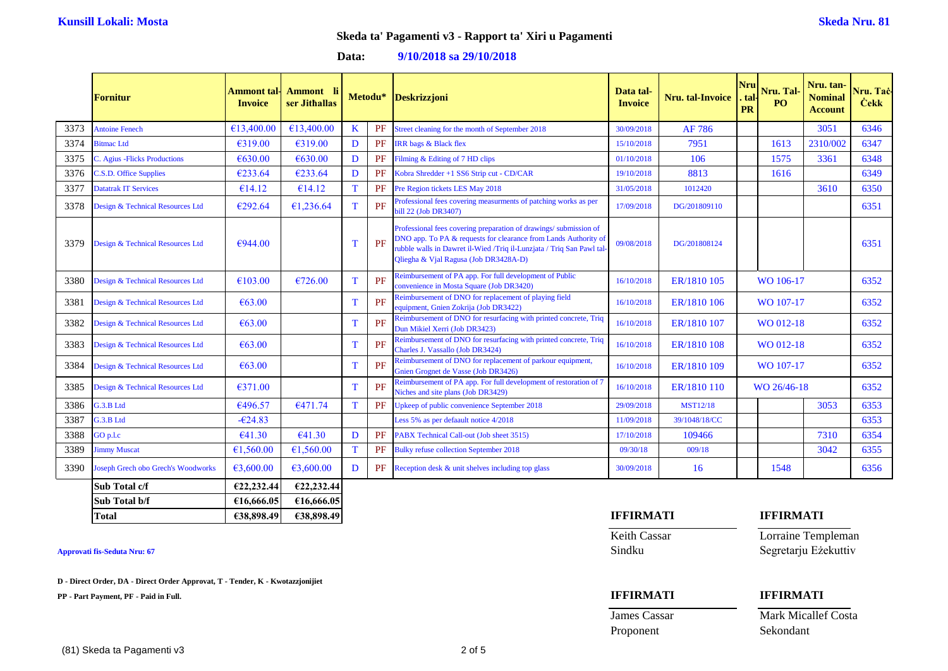### **Data: 9/10/2018 sa 29/10/2018**

|      | <b>Fornitur</b>                                | Ammont tal-<br><b>Invoice</b> | Ammont li<br>ser Jithallas |   |    | Metodu* Deskrizzjoni                                                                                                                                                                                                                                 | Data tal-<br><b>Invoice</b> | Nru. tal-Invoice | Nru<br>tal<br><b>PR</b> | Nru. tan-<br>Nru. Tal-<br><b>Nominal</b><br>P <sub>O</sub><br><b>Account</b> |          | Nru. Taċ-<br><b>Čekk</b> |
|------|------------------------------------------------|-------------------------------|----------------------------|---|----|------------------------------------------------------------------------------------------------------------------------------------------------------------------------------------------------------------------------------------------------------|-----------------------------|------------------|-------------------------|------------------------------------------------------------------------------|----------|--------------------------|
| 3373 | <b>Antoine Fenech</b>                          | €13,400.00                    | €13,400.00                 | K | PF | Street cleaning for the month of September 2018                                                                                                                                                                                                      | 30/09/2018                  | AF 786           |                         |                                                                              | 3051     | 6346                     |
| 3374 | <b>Bitmac Ltd</b>                              | €319.00                       | €319.00                    | D | PF | <b>IRR</b> bags & Black flex                                                                                                                                                                                                                         | 15/10/2018                  | 7951             |                         | 1613                                                                         | 2310/002 | 6347                     |
| 3375 | C. Agius - Flicks Productions                  | €630.00                       | €630.00                    | D | PF | Filming & Editing of 7 HD clips                                                                                                                                                                                                                      | 01/10/2018                  | 106              |                         | 1575                                                                         | 3361     | 6348                     |
| 3376 | C.S.D. Office Supplies                         | €233.64                       | €233.64                    | D | PF | Kobra Shredder +1 SS6 Strip cut - CD/CAR                                                                                                                                                                                                             | 19/10/2018                  | 8813             |                         | 1616                                                                         |          | 6349                     |
| 3377 | <b>Datatrak IT Services</b>                    | €14.12                        | €14.12                     | T | PF | Pre Region tickets LES May 2018                                                                                                                                                                                                                      | 31/05/2018                  | 1012420          |                         |                                                                              | 3610     | 6350                     |
| 3378 | Design & Technical Resources Ltd               | €292.64                       | €1,236.64                  | T | PF | Professional fees covering measurments of patching works as per<br>bill 22 (Job DR3407)                                                                                                                                                              | 17/09/2018                  | DG/201809110     |                         |                                                                              |          | 6351                     |
| 3379 | Design & Technical Resources Ltd               | €944.00                       |                            | т | PF | Professional fees covering preparation of drawings/submission of<br>DNO app. To PA & requests for clearance from Lands Authority of<br>rubble walls in Dawret il-Wied /Triq il-Lunzjata / Triq San Pawl tal<br>Qliegha & Vjal Ragusa (Job DR3428A-D) | 09/08/2018                  | DG/201808124     |                         |                                                                              |          | 6351                     |
| 3380 | Design & Technical Resources Ltd               | €103.00                       | €726.00                    | T | PF | Reimbursement of PA app. For full development of Public<br>convenience in Mosta Square (Job DR3420)                                                                                                                                                  | 16/10/2018                  | ER/1810 105      | WO 106-17               |                                                                              | 6352     |                          |
| 3381 | Design & Technical Resources Ltd               | €63.00                        |                            | т | PF | Reimbursement of DNO for replacement of playing field<br>equipment, Gnien Zokrija (Job DR3422)                                                                                                                                                       | 16/10/2018                  | ER/1810 106      | WO 107-17               |                                                                              |          | 6352                     |
| 3382 | Design & Technical Resources Ltd               | €63.00                        |                            | Т | PF | Reimbursement of DNO for resurfacing with printed concrete, Triq<br>Dun Mikiel Xerri (Job DR3423)                                                                                                                                                    | 16/10/2018                  | ER/1810 107      |                         | WO 012-18                                                                    |          | 6352                     |
| 3383 | Design & Technical Resources Ltd               | € $63.00$                     |                            | т | PF | Reimbursement of DNO for resurfacing with printed concrete, Triq<br>Charles J. Vassallo (Job DR3424)                                                                                                                                                 | 16/10/2018                  | ER/1810 108      |                         | WO 012-18                                                                    |          | 6352                     |
| 3384 | Design & Technical Resources Ltd               | € $63.00$                     |                            | т | PF | Reimbursement of DNO for replacement of parkour equipment,<br>Gnien Grognet de Vasse (Job DR3426)                                                                                                                                                    | 16/10/2018                  | ER/1810 109      |                         | WO 107-17                                                                    |          | 6352                     |
| 3385 | Design & Technical Resources Ltd               | €371.00                       |                            | T | PF | Reimbursement of PA app. For full development of restoration of 7<br>Niches and site plans (Job DR3429)                                                                                                                                              | 16/10/2018                  | ER/1810 110      |                         | WO 26/46-18                                                                  |          | 6352                     |
| 3386 | G.3.B Ltd                                      | €496.57                       | €471.74                    | т | PF | Upkeep of public convenience September 2018                                                                                                                                                                                                          | 29/09/2018                  | <b>MST12/18</b>  |                         |                                                                              | 3053     | 6353                     |
| 3387 | G.3.B Ltd                                      | $-624.83$                     |                            |   |    | Less 5% as per defaault notice 4/2018                                                                                                                                                                                                                | 11/09/2018                  | 39/1048/18/CC    |                         |                                                                              |          | 6353                     |
| 3388 | GO p.l.c                                       | €41.30                        | €41.30                     | D | PF | PABX Technical Call-out (Job sheet 3515)                                                                                                                                                                                                             | 17/10/2018                  | 109466           |                         |                                                                              | 7310     | 6354                     |
| 3389 | <b>Jimmy Muscat</b>                            | €1,560.00                     | €1,560.00                  | Т | PF | <b>Bulky refuse collection September 2018</b>                                                                                                                                                                                                        | 09/30/18                    | 009/18           |                         |                                                                              | 3042     | 6355                     |
| 3390 | <b>Joseph Grech obo Grech's Woodworks</b>      | €3,600.00                     | €3,600.00                  | D | PF | Reception desk & unit shelves including top glass                                                                                                                                                                                                    | 30/09/2018                  | 16               |                         | 1548                                                                         |          | 6356                     |
|      | $C_{\text{sub}}$ Tatal $\alpha$ <sup>(f)</sup> | 0.22.22.44                    | 622.22.44                  |   |    |                                                                                                                                                                                                                                                      |                             |                  |                         |                                                                              |          |                          |

| Sub Total c/f | E22.232.44 | E22.232.44 |                  |           |
|---------------|------------|------------|------------------|-----------|
| Sub Total b/f | €16,666.05 | €16,666,05 |                  |           |
| Total         | €38,898.49 | €38,898.49 | <b>IFFIRMATI</b> | IFFIRMATI |

**D - Direct Order, DA - Direct Order Approvat, T - Tender, K - Kwotazzjonijiet**

**PP - Part Payment, PF - Paid in Full. IFFIRMATI IFFIRMATI**

Keith Cassar Lorraine Templeman Approvati fis-Seduta Nru: 67<br>Sindku Segretarju Eżekuttiv

Proponent Sekondant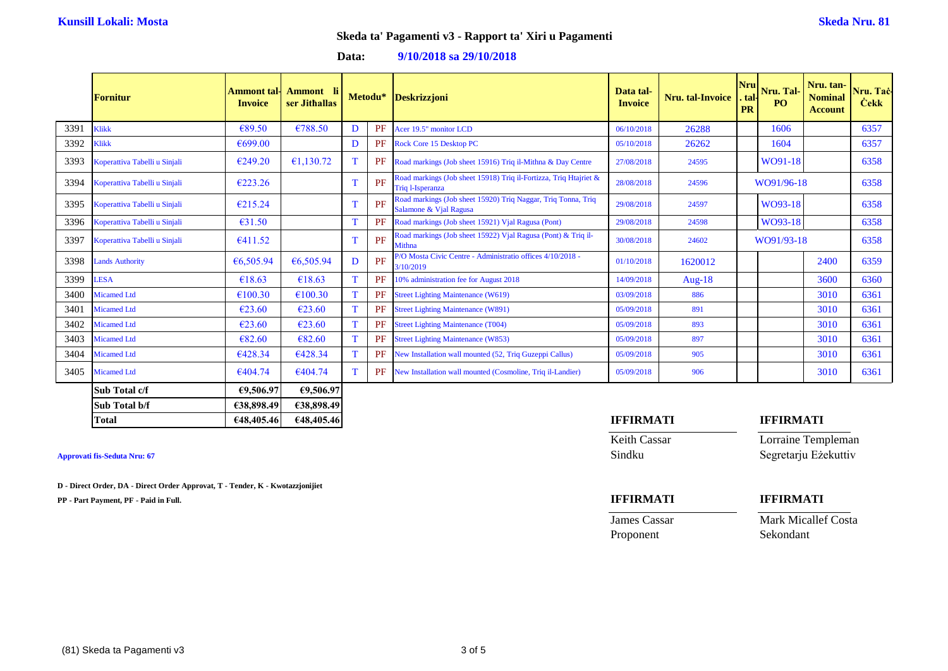### **Data: 9/10/2018 sa 29/10/2018**

|      | <b>Fornitur</b>               | <b>Ammont</b> tal-<br><b>Invoice</b> | Ammont li<br>ser Jithallas |             |    | Metodu* Deskrizzjoni                                                                    | Data tal-<br><b>Invoice</b> | Nru. tal-Invoice | <b>Nrul</b><br>. tal·l<br><b>PR</b> | Nru. Tal-<br>P <sub>O</sub> | Nru. tan-<br><b>Nominal</b><br><b>Account</b> | Nru. Tac-<br><b>Čekk</b> |
|------|-------------------------------|--------------------------------------|----------------------------|-------------|----|-----------------------------------------------------------------------------------------|-----------------------------|------------------|-------------------------------------|-----------------------------|-----------------------------------------------|--------------------------|
| 3391 | Klikk                         | €89.50                               | €788.50                    | D           | PF | Acer 19.5" monitor LCD                                                                  | 06/10/2018                  | 26288            |                                     | 1606                        |                                               | 6357                     |
| 3392 | Klikk                         | €699.00                              |                            | D           | PF | Rock Core 15 Desktop PC                                                                 | 05/10/2018                  | 26262            |                                     | 1604                        |                                               | 6357                     |
| 3393 | Koperattiva Tabelli u Sinjali | €249.20                              | £1,130.72                  |             | PF | Road markings (Job sheet 15916) Triq il-Mithna & Day Centre                             | 27/08/2018                  | 24595            |                                     | WO91-18                     |                                               | 6358                     |
| 3394 | Koperattiva Tabelli u Sinjali | €223.26                              |                            | T           | PF | Road markings (Job sheet 15918) Triq il-Fortizza, Triq Htajriet &<br>Triq 1-Isperanza   | 28/08/2018                  | 24596            |                                     | WO91/96-18                  |                                               | 6358                     |
| 3395 | Koperattiva Tabelli u Sinjali | €215.24                              |                            |             | PF | Road markings (Job sheet 15920) Triq Naggar, Triq Tonna, Triq<br>Salamone & Vjal Ragusa | 29/08/2018                  | 24597            |                                     | WO93-18                     |                                               | 6358                     |
| 3396 | Koperattiva Tabelli u Sinjali | €31.50                               |                            |             | PF | Road markings (Job sheet 15921) Vjal Ragusa (Pont)                                      | 29/08/2018                  | 24598            |                                     | WO93-18                     |                                               | 6358                     |
| 3397 | Koperattiva Tabelli u Sinjali | €411.52                              |                            | $\mathbf T$ | PF | Road markings (Job sheet 15922) Vjal Ragusa (Pont) & Triq il-<br><b>Mithna</b>          | 30/08/2018                  | 24602            |                                     | WO91/93-18                  |                                               | 6358                     |
| 3398 | <b>Lands Authority</b>        | €6,505.94                            | €6,505.94                  | D           | PF | P/O Mosta Civic Centre - Administratio offices 4/10/2018 -<br>3/10/2019                 | 01/10/2018                  | 1620012          |                                     |                             | 2400                                          | 6359                     |
| 3399 | <b>LESA</b>                   | €18.63                               | €18.63                     |             | PF | 10% administration fee for August 2018                                                  | 14/09/2018                  | Aug- $18$        |                                     |                             | 3600                                          | 6360                     |
| 3400 | <b>Micamed Ltd</b>            | €100.30                              | €100.30                    |             | PF | <b>Street Lighting Maintenance (W619)</b>                                               | 03/09/2018                  | 886              |                                     |                             | 3010                                          | 6361                     |
| 3401 | <b>Micamed Ltd</b>            | €23.60                               | €23.60                     |             | PF | <b>Street Lighting Maintenance (W891)</b>                                               | 05/09/2018                  | 891              |                                     |                             | 3010                                          | 6361                     |
| 3402 | <b>Micamed Ltd</b>            | €23.60                               | €23.60                     |             | PF | <b>Street Lighting Maintenance (T004)</b>                                               | 05/09/2018                  | 893              |                                     |                             | 3010                                          | 6361                     |
| 3403 | <b>Micamed Ltd</b>            | €82.60                               | €82.60                     |             | PF | <b>Street Lighting Maintenance (W853)</b>                                               | 05/09/2018                  | 897              |                                     |                             | 3010                                          | 6361                     |
| 3404 | <b>Micamed Ltd</b>            | €428.34                              | €428.34                    |             | PF | New Installation wall mounted (52, Triq Guzeppi Callus)                                 | 05/09/2018                  | 905              |                                     |                             | 3010                                          | 6361                     |
| 3405 | <b>Micamed Ltd</b>            | €404.74                              | €404.74                    |             | PF | New Installation wall mounted (Cosmoline, Triq il-Landier)                              | 05/09/2018                  | 906              |                                     |                             | 3010                                          | 6361                     |
|      | Sub Total c/f                 | €9,506.97                            | €9,506.97                  |             |    |                                                                                         |                             |                  |                                     |                             |                                               |                          |

| Sub Total c/f | €9,506.97  | €9,506.97  |  |                  |  |                  |  |
|---------------|------------|------------|--|------------------|--|------------------|--|
| Sub Total b/f | €38,898.49 | €38,898.49 |  |                  |  |                  |  |
| <b>Total</b>  | €48,405.46 | €48,405.46 |  | <b>IFFIRMATI</b> |  | <b>IFFIRMATI</b> |  |
|               |            |            |  |                  |  |                  |  |

### **Approvati fis-Seduta Nru: 67**

**D - Direct Order, DA - Direct Order Approvat, T - Tender, K - Kwotazzjonijiet**

**PP - Part Payment, PF - Paid in Full. IFFIRMATI IFFIRMATI**

| <b>IFFIRMATI</b> | <b>IFFIRMATI</b>     |
|------------------|----------------------|
| Keith Cassar     | Lorraine Templeman   |
| Sindku           | Segretarju Eżekuttiv |
|                  |                      |
| IEEIDMATI        | IEEIDMATI            |

Proponent Sekondant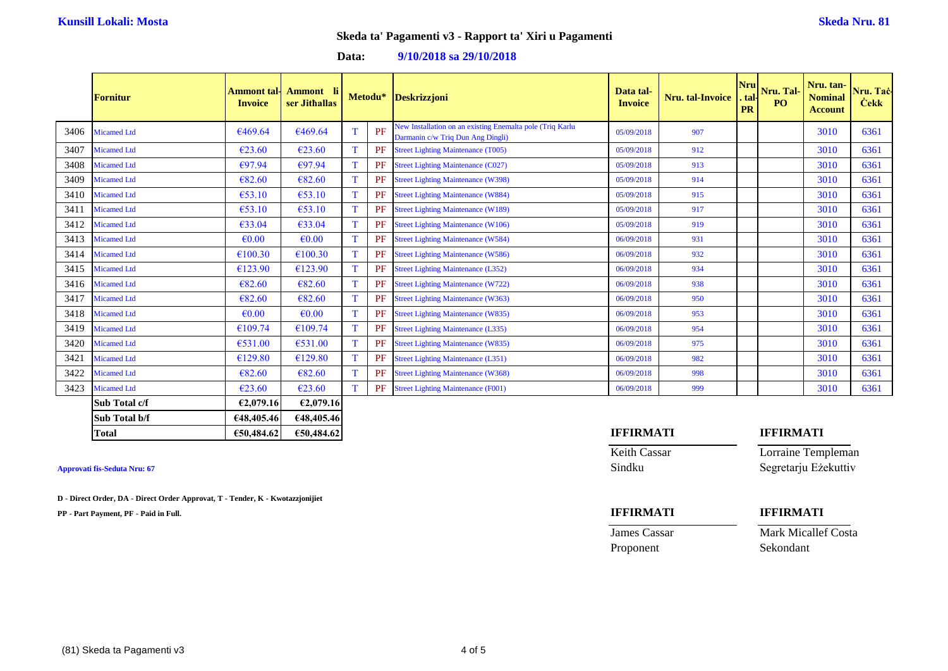### **Data: 9/10/2018 sa 29/10/2018**

|      | <b>Fornitur</b>    | Ammont tal·l<br><b>Invoice</b> | Ammont li<br>ser Jithallas |             | Metodu* | Deskrizzjoni                                                                                   | Data tal-<br><b>Invoice</b> | <b>Nru.</b> tal-Invoice | <b>Nru</b><br>. tal·l<br><b>PR</b> | Nru. Tal-<br>PO. | Nru. tan-<br><b>Nominal</b><br><b>Account</b> | Nru. Tac-<br><b>Čekk</b> |
|------|--------------------|--------------------------------|----------------------------|-------------|---------|------------------------------------------------------------------------------------------------|-----------------------------|-------------------------|------------------------------------|------------------|-----------------------------------------------|--------------------------|
| 3406 | <b>Micamed Ltd</b> | €469.64                        | €469.64                    |             | PF      | New Installation on an existing Enemalta pole (Triq Karlu<br>Darmanin c/w Triq Dun Ang Dingli) | 05/09/2018                  | 907                     |                                    |                  | 3010                                          | 6361                     |
| 3407 | <b>Micamed Ltd</b> | €23.60                         | €23.60                     |             | PF      | <b>Street Lighting Maintenance (T005)</b>                                                      | 05/09/2018                  | 912                     |                                    |                  | 3010                                          | 6361                     |
| 3408 | Micamed Ltd        | €97.94                         | €97.94                     |             | PF      | <b>Street Lighting Maintenance (C027)</b>                                                      | 05/09/2018                  | 913                     |                                    |                  | 3010                                          | 6361                     |
| 3409 | <b>Micamed Ltd</b> | €82.60                         | €82.60                     |             | PF      | <b>Street Lighting Maintenance (W398)</b>                                                      | 05/09/2018                  | 914                     |                                    |                  | 3010                                          | 6361                     |
| 3410 | <b>Micamed Ltd</b> | €53.10                         | €53.10                     | $\mathbf T$ | PF      | <b>Street Lighting Maintenance (W884)</b>                                                      | 05/09/2018                  | 915                     |                                    |                  | 3010                                          | 6361                     |
| 3411 | <b>Micamed Ltd</b> | €53.10                         | €53.10                     |             | PF      | <b>Street Lighting Maintenance (W189)</b>                                                      | 05/09/2018                  | 917                     |                                    |                  | 3010                                          | 6361                     |
| 3412 | <b>Micamed Ltd</b> | €33.04                         | €33.04                     |             | PF      | <b>Street Lighting Maintenance (W106)</b>                                                      | 05/09/2018                  | 919                     |                                    |                  | 3010                                          | 6361                     |
| 3413 | <b>Micamed Ltd</b> | $\epsilon$ <sub>0.00</sub>     | $\epsilon$ <sub>0.00</sub> |             | PF      | <b>Street Lighting Maintenance (W584)</b>                                                      | 06/09/2018                  | 931                     |                                    |                  | 3010                                          | 6361                     |
| 3414 | <b>Micamed Ltd</b> | €100.30                        | €100.30                    |             | PF      | <b>Street Lighting Maintenance (W586)</b>                                                      | 06/09/2018                  | 932                     |                                    |                  | 3010                                          | 6361                     |
| 3415 | <b>Micamed Ltd</b> | €123.90                        | €123.90                    |             | PF      | <b>Street Lighting Maintenance (L352)</b>                                                      | 06/09/2018                  | 934                     |                                    |                  | 3010                                          | 6361                     |
| 3416 | <b>Micamed Ltd</b> | €82.60                         | €82.60                     |             | PF      | <b>Street Lighting Maintenance (W722)</b>                                                      | 06/09/2018                  | 938                     |                                    |                  | 3010                                          | 6361                     |
| 3417 | <b>Micamed Ltd</b> | €82.60                         | €82.60                     |             | PF      | <b>Street Lighting Maintenance (W363)</b>                                                      | 06/09/2018                  | 950                     |                                    |                  | 3010                                          | 6361                     |
| 3418 | <b>Micamed Ltd</b> | $\epsilon$ <sub>0.00</sub>     | $\epsilon$ <sub>0.00</sub> |             | PF      | <b>Street Lighting Maintenance (W835)</b>                                                      | 06/09/2018                  | 953                     |                                    |                  | 3010                                          | 6361                     |
| 3419 | <b>Micamed Ltd</b> | €109.74                        | €109.74                    |             | PF      | <b>Street Lighting Maintenance (L335)</b>                                                      | 06/09/2018                  | 954                     |                                    |                  | 3010                                          | 6361                     |
| 3420 | <b>Micamed Ltd</b> | €531.00                        | €531.00                    |             | PF      | <b>Street Lighting Maintenance (W835)</b>                                                      | 06/09/2018                  | 975                     |                                    |                  | 3010                                          | 6361                     |
| 3421 | <b>Micamed Ltd</b> | €129.80                        | €129.80                    |             | PF      | <b>Street Lighting Maintenance (L351)</b>                                                      | 06/09/2018                  | 982                     |                                    |                  | 3010                                          | 6361                     |
| 3422 | <b>Micamed Ltd</b> | €82.60                         | €82.60                     |             | PF      | <b>Street Lighting Maintenance (W368)</b>                                                      | 06/09/2018                  | 998                     |                                    |                  | 3010                                          | 6361                     |
| 3423 | <b>Micamed Ltd</b> | €23.60                         | €23.60                     |             | PF      | <b>Street Lighting Maintenance (F001)</b>                                                      | 06/09/2018                  | 999                     |                                    |                  | 3010                                          | 6361                     |
|      | Sub Total c/f      | €2.079.16                      | E2,079.16                  |             |         |                                                                                                |                             |                         |                                    |                  |                                               |                          |
|      | Sub Total b/f      | €48,405.46                     | €48,405.46                 |             |         |                                                                                                |                             |                         |                                    |                  |                                               |                          |

| <b>Approvati fis-Seduta Nru: 67</b> |  |  |
|-------------------------------------|--|--|
|                                     |  |  |

**D - Direct Order, DA - Direct Order Approvat, T - Tender, K - Kwotazzjonijiet**

**PP - Part Payment, PF - Paid in Full. IFFIRMATI IFFIRMATI**

# **Total €50,484.62 €50,484.62 IFFIRMATI IFFIRMATI** Keith Cassar Lorraine Templeman **Approvati fis-Seduta Nru: 67** Sindku Segretarju Eżekuttiv

**James Cassar Mark Micallef Costa** Proponent Sekondant